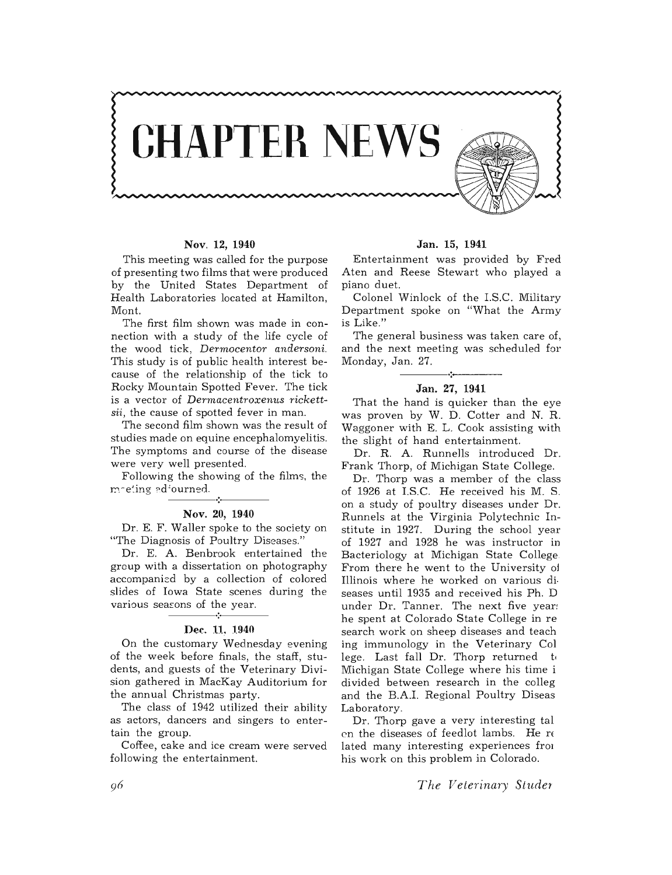

# Nov. 12, 1940

This meeting was called for the purpose of presenting two films that were produced by the United States Department of Health Laboratories located at Hamilton, Mont.

The first film shown was made in connection with a study of the life cycle of the wood tick, *Dermocentor andersoni.*  This study is of public health interest because of the relationship of the tick to Rocky Mountain Spotted Fever. The tick is a vector of *Dermacentroxenus rickettsii,* the cause of spotted fever in man.

The second film shown was the result of studies made on equine encephalomyelitis. The symptoms and course of the disease were very well presented.

Following the showing of the films, the  $m$ -eting adjourned.<br>  $\begin{array}{|c|c|c|c|c|}\hline \multicolumn{1}{|c|}{\bullet} & \multicolumn{1}{|c|}{\bullet} & \multicolumn{1}{|c|}{\bullet} & \multicolumn{1}{|c|}{\bullet} & \multicolumn{1}{|c|}{\bullet} & \multicolumn{1}{|c|}{\bullet} & \multicolumn{1}{|c|}{\bullet} & \multicolumn{1}{|c|}{\bullet} & \multicolumn{1}{|c|}{\bullet} & \multicolumn{1}{|c|}{\bullet} & \multicolumn{1}{|c|}{\bullet} & \multicolumn{1}{|c|}{\bullet}$ 

# Nov. 20, 1940

Dr. E. F. Waller spoke to the society on "The Diagnosis of Poultry Diseases."

Dr. E. A. Benbrook entertained the group with a dissertation on photography accompanisd by a collection of colored slides of Iowa State scenes during the various seasons of the year.

## Dec. 11. 1940

On the customary Wednesday evening of the week before finals, the staff, students, and guests of the Veterinary Division gathered in MacKay Auditorium for the annual Christmas party.

The class of 1942 utilized their ability as actors, dancers and singers to entertain the group.

Coffee, cake and ice cream were served following the entertainment.

#### Jan. 15, 1941

Entertainment was provided by Fred Aten and Reese Stewart who played a piano duet.

Colonel Winlock of the LS.C. Military Department spoke on "What the Army is Like."

The general business was taken care of, and the next meeting was scheduled for Monday, Jan. 27.

#### -----~~.------- Jan. 27, 1941

That the hand is quicker than the eye was proven by W. D. Cotter and N. R. Waggoner with E. L. Cook assisting with the slight of hand entertainment.

Dr. R. A. Runnells introduced Dr. Frank Thorp, of Michigan State College.

Dr. Thorp was a member of the class of 1926 at LS.C. He received his M. S. on a study of poultry diseases under Dr. Runnels at the Virginia Polytechnic Institute in 1927. During the school year of 1927 and 1928 he was instructor in Bacteriology at Michigan State College From there he went to the University oj Illinois where he worked on various di· seases until 1935 and received his Ph. D under Dr. Tanner. The next five year! he spent at Colorado State College in re search work on sheep diseases and teach ing immunology in the Veterinary Col lege. Last fall Dr. Thorp returned to Michigan State College where his time i divided between research in the colleg and the B.A.L Regional Poultry Diseas Laboratory.

Dr. Thorp gave a very interesting tal on the diseases of feedlot lambs. He  $r\epsilon$ lated many interesting experiences from his work on this problem in Colorado.

The Veterinary Studer